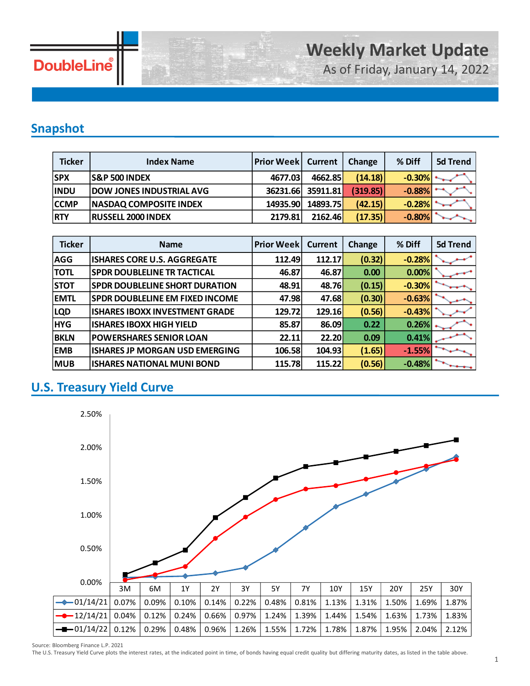

As of Friday, January 14, 2022

### **Snapshot**

| <b>Ticker</b> | <b>Index Name</b>               | <b>Prior Week   Current</b> |          | Change   | % Diff   | 5d Trend |
|---------------|---------------------------------|-----------------------------|----------|----------|----------|----------|
| <b>SPX</b>    | <b>S&amp;P 500 INDEX</b>        | 4677.03                     | 4662.85  | (14.18)  | $-0.30%$ |          |
| <b>INDU</b>   | <b>DOW JONES INDUSTRIAL AVG</b> | 36231.66                    | 35911.81 | (319.85) | $-0.88%$ | -        |
| <b>CCMP</b>   | <b>NASDAQ COMPOSITE INDEX</b>   | 14935.90                    | 14893.75 | (42.15)  | $-0.28%$ |          |
| <b>RTY</b>    | <b>RUSSELL 2000 INDEX</b>       | 2179.81                     | 2162.46  | (17.35)  | $-0.80%$ |          |

| <b>Ticker</b> | <b>Name</b>                            | <b>Prior Week</b> | <b>Current</b> | <b>Change</b> | % Diff   | 5d Trend |
|---------------|----------------------------------------|-------------------|----------------|---------------|----------|----------|
| <b>AGG</b>    | <b>ISHARES CORE U.S. AGGREGATE</b>     | 112.49            | 112.17         | (0.32)        | $-0.28%$ |          |
| <b>TOTL</b>   | <b>SPDR DOUBLELINE TR TACTICAL</b>     | 46.87             | 46.87          | 0.00          | 0.00%    |          |
| <b>STOT</b>   | <b>SPDR DOUBLELINE SHORT DURATION</b>  | 48.91             | 48.76          | (0.15)        | $-0.30%$ |          |
| <b>EMTL</b>   | <b>SPDR DOUBLELINE EM FIXED INCOME</b> | 47.98             | 47.68          | (0.30)        | $-0.63%$ |          |
| <b>LQD</b>    | <b>ISHARES IBOXX INVESTMENT GRADE</b>  | 129.72            | 129.16         | (0.56)        | $-0.43%$ |          |
| <b>HYG</b>    | <b>ISHARES IBOXX HIGH YIELD</b>        | 85.87             | 86.09          | 0.22          | 0.26%    |          |
| <b>BKLN</b>   | <b>POWERSHARES SENIOR LOAN</b>         | 22.11             | 22.20          | 0.09          | 0.41%    |          |
| <b>EMB</b>    | <b>ISHARES JP MORGAN USD EMERGING</b>  | 106.58            | 104.93         | (1.65)        | $-1.55%$ |          |
| <b>MUB</b>    | <b>ISHARES NATIONAL MUNI BOND</b>      | 115.78            | 115.22         | (0.56)        | $-0.48%$ |          |

### **U.S. Treasury Yield Curve**



Source: Bloomberg Finance L.P. 2021

The U.S. Treasury Yield Curve plots the interest rates, at the indicated point in time, of bonds having equal credit quality but differing maturity dates, as listed in the table above.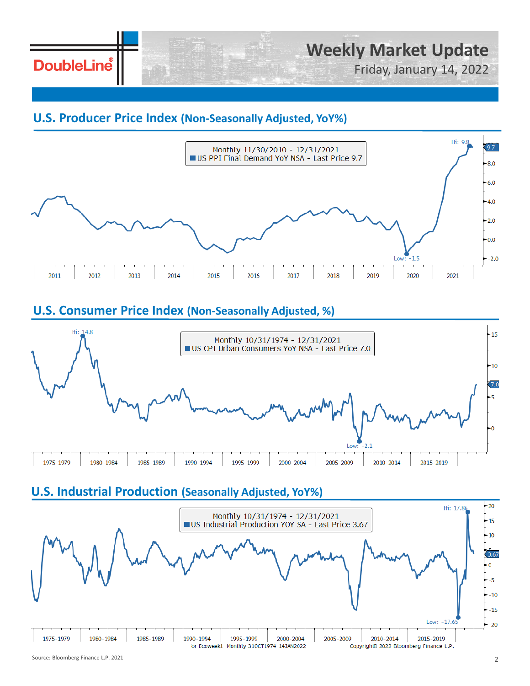**DoubleLine** 

Friday, January 14, 2022

#### **U.S. Producer Price Index (Non-Seasonally Adjusted, YoY%)**



### **U.S. Consumer Price Index (Non-Seasonally Adjusted, %)**



### **U.S. Industrial Production (Seasonally Adjusted, YoY%)**

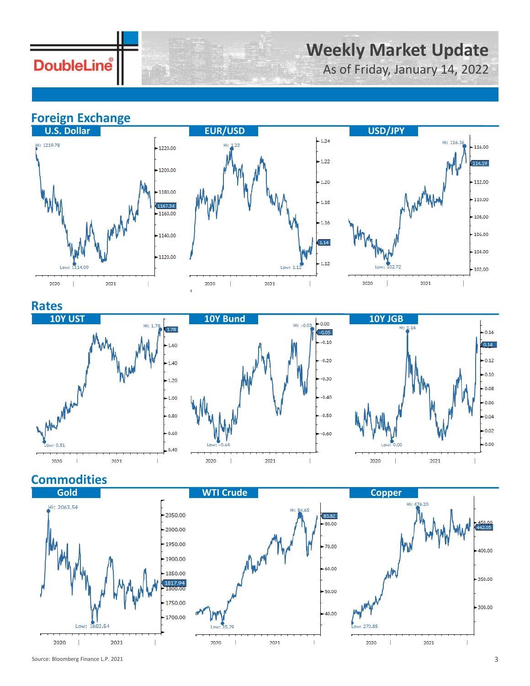**DoubleLine** 

# **Weekly Market Update**

As of Friday, January 14, 2022

## **Foreign Exchange**







#### **Rates**







### **Commodities**